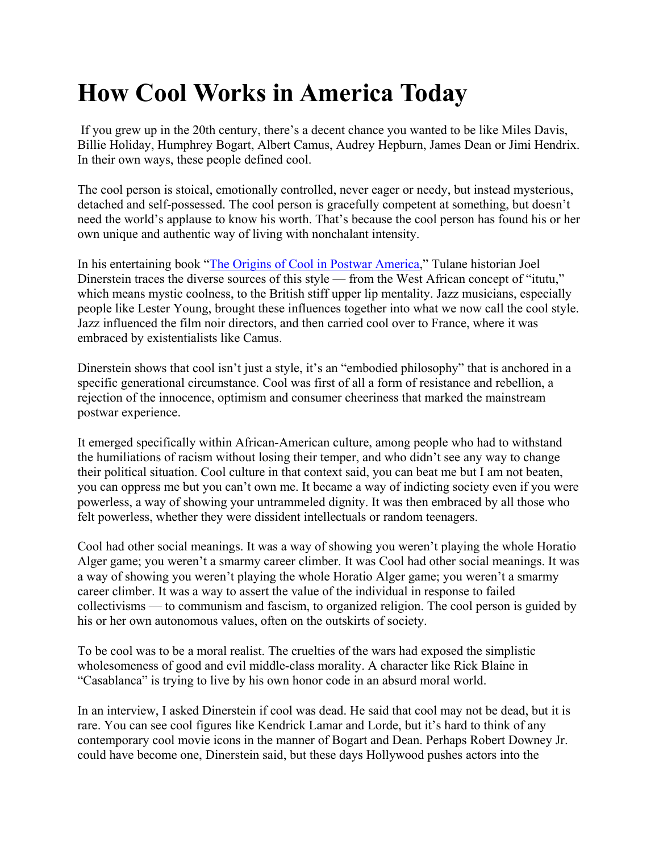## **How Cool Works in America Today**

If you grew up in the 20th century, there's a decent chance you wanted to be like Miles Davis, Billie Holiday, Humphrey Bogart, Albert Camus, Audrey Hepburn, James Dean or Jimi Hendrix. In their own ways, these people defined cool.

The cool person is stoical, emotionally controlled, never eager or needy, but instead mysterious, detached and self-possessed. The cool person is gracefully competent at something, but doesn't need the world's applause to know his worth. That's because the cool person has found his or her own unique and authentic way of living with nonchalant intensity.

In his entertaining book ["The Origins of Cool in Postwar America,](http://press.uchicago.edu/ucp/books/book/chicago/O/bo6880323.html)" Tulane historian Joel Dinerstein traces the diverse sources of this style — from the West African concept of "itutu," which means mystic coolness, to the British stiff upper lip mentality. Jazz musicians, especially people like Lester Young, brought these influences together into what we now call the cool style. Jazz influenced the film noir directors, and then carried cool over to France, where it was embraced by existentialists like Camus.

Dinerstein shows that cool isn't just a style, it's an "embodied philosophy" that is anchored in a specific generational circumstance. Cool was first of all a form of resistance and rebellion, a rejection of the innocence, optimism and consumer cheeriness that marked the mainstream postwar experience.

It emerged specifically within African-American culture, among people who had to withstand the humiliations of racism without losing their temper, and who didn't see any way to change their political situation. Cool culture in that context said, you can beat me but I am not beaten, you can oppress me but you can't own me. It became a way of indicting society even if you were powerless, a way of showing your untrammeled dignity. It was then embraced by all those who felt powerless, whether they were dissident intellectuals or random teenagers.

Cool had other social meanings. It was a way of showing you weren't playing the whole Horatio Alger game; you weren't a smarmy career climber. It was Cool had other social meanings. It was a way of showing you weren't playing the whole Horatio Alger game; you weren't a smarmy career climber. It was a way to assert the value of the individual in response to failed collectivisms — to communism and fascism, to organized religion. The cool person is guided by his or her own autonomous values, often on the outskirts of society.

To be cool was to be a moral realist. The cruelties of the wars had exposed the simplistic wholesomeness of good and evil middle-class morality. A character like Rick Blaine in "Casablanca" is trying to live by his own honor code in an absurd moral world.

In an interview, I asked Dinerstein if cool was dead. He said that cool may not be dead, but it is rare. You can see cool figures like Kendrick Lamar and Lorde, but it's hard to think of any contemporary cool movie icons in the manner of Bogart and Dean. Perhaps Robert Downey Jr. could have become one, Dinerstein said, but these days Hollywood pushes actors into the